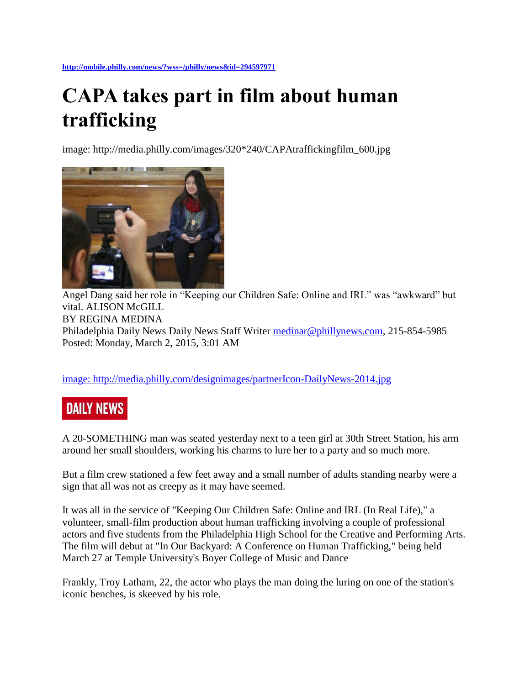**<http://mobile.philly.com/news/?wss=/philly/news&id=294597971>**

## **CAPA takes part in film about human trafficking**

image: http://media.philly.com/images/320\*240/CAPAtraffickingfilm\_600.jpg



Angel Dang said her role in "Keeping our Children Safe: Online and IRL" was "awkward" but vital. ALISON McGILL BY REGINA MEDINA Philadelphia Daily News Daily News Staff Writer [medinar@phillynews.com,](mailto:medinar@phillynews.com) 215-854-5985 Posted: Monday, March 2, 2015, 3:01 AM

[image: http://media.philly.com/designimages/partnerIcon-DailyNews-2014.jpg](http://www.philly.com/dailynews)

## **DAILY NEWS**

A 20-SOMETHING man was seated yesterday next to a teen girl at 30th Street Station, his arm around her small shoulders, working his charms to lure her to a party and so much more.

But a film crew stationed a few feet away and a small number of adults standing nearby were a sign that all was not as creepy as it may have seemed.

It was all in the service of "Keeping Our Children Safe: Online and IRL (In Real Life)," a volunteer, small-film production about human trafficking involving a couple of professional actors and five students from the Philadelphia High School for the Creative and Performing Arts. The film will debut at "In Our Backyard: A Conference on Human Trafficking," being held March 27 at Temple University's Boyer College of Music and Dance

Frankly, Troy Latham, 22, the actor who plays the man doing the luring on one of the station's iconic benches, is skeeved by his role.